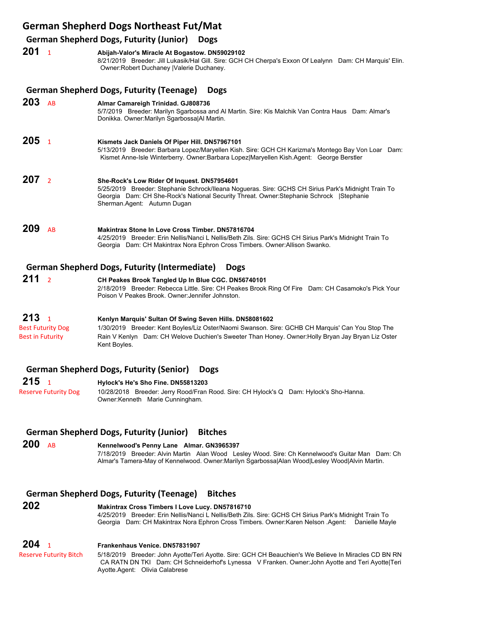## **German Shepherd Dogs Northeast Fut/Mat**

### **German Shepherd Dogs, Futurity (Junior) Dogs**

|     |                | Scriman Shepherd Dogs, Futurity (Juliior) Dogs                                                                                                                                                                                                                                 |
|-----|----------------|--------------------------------------------------------------------------------------------------------------------------------------------------------------------------------------------------------------------------------------------------------------------------------|
| 201 | $\overline{1}$ | Abijah-Valor's Miracle At Bogastow. DN59029102<br>8/21/2019 Breeder: Jill Lukasik/Hal Gill. Sire: GCH CH Cherpa's Exxon Of Lealynn Dam: CH Marquis' Elin.<br>Owner: Robert Duchaney   Valerie Duchaney.                                                                        |
|     |                | <b>German Shepherd Dogs, Futurity (Teenage)</b><br><b>Dogs</b>                                                                                                                                                                                                                 |
| 203 | AB             | Almar Camareigh Trinidad. GJ808736<br>5/7/2019 Breeder: Marilyn Sgarbossa and Al Martin. Sire: Kis Malchik Van Contra Haus Dam: Almar's<br>Donikka. Owner: Marilyn Sgarbossa Al Martin.                                                                                        |
| 205 | $\overline{1}$ | Kismets Jack Daniels Of Piper Hill. DN57967101<br>5/13/2019 Breeder: Barbara Lopez/Maryellen Kish. Sire: GCH CH Karizma's Montego Bay Von Loar Dam:<br>Kismet Anne-Isle Winterberry. Owner:Barbara Lopez Maryellen Kish.Agent: George Berstler                                 |
| 207 | $\overline{2}$ | She-Rock's Low Rider Of Inquest. DN57954601<br>5/25/2019 Breeder: Stephanie Schrock/Ileana Nogueras. Sire: GCHS CH Sirius Park's Midnight Train To<br>Georgia Dam: CH She-Rock's National Security Threat. Owner: Stephanie Schrock   Stephanie<br>Sherman.Agent: Autumn Dugan |
| 209 | <b>AB</b>      | Makintrax Stone In Love Cross Timber, DN57816704<br>4/25/2019 Breeder: Erin Nellis/Nanci L Nellis/Beth Zils. Sire: GCHS CH Sirius Park's Midnight Train To<br>Georgia Dam: CH Makintrax Nora Ephron Cross Timbers. Owner: Allison Swanko.                                      |
|     |                | <b>German Shepherd Dogs, Futurity (Intermediate)</b><br><b>Dogs</b>                                                                                                                                                                                                            |
| 211 | $\overline{2}$ | CH Peakes Brook Tangled Up In Blue CGC. DN56740101                                                                                                                                                                                                                             |

2/18/2019 Breeder: Rebecca Little. Sire: CH Peakes Brook Ring Of Fire Dam: CH Casamoko's Pick Your Poison V Peakes Brook. Owner:Jennifer Johnston.

## **213** <sup>1</sup> **Kenlyn Marquis' Sultan Of Swing Seven Hills. DN58081602**

Best Futurity Dog 1/30/2019 Breeder: Kent Boyles/Liz Oster/Naomi Swanson. Sire: GCHB CH Marquis' Can You Stop The Best in Futurity **Rain V Kenlyn** Dam: CH Welove Duchien's Sweeter Than Honey. Owner:Holly Bryan Jay Bryan Liz Oster Kent Boyles.

### **German Shepherd Dogs, Futurity (Senior) Dogs**

**215** <sup>1</sup> **Hylock's He's Sho Fine. DN55813203** Reserve Futurity Dog 10/28/2018 Breeder: Jerry Rood/Fran Rood. Sire: CH Hylock's Q Dam: Hylock's Sho-Hanna. Owner:Kenneth Marie Cunningham.

### **German Shepherd Dogs, Futurity (Junior) Bitches**

**200** AB **Kennelwood's Penny Lane Almar. GN3965397** 7/18/2019 Breeder: Alvin Martin Alan Wood Lesley Wood. Sire: Ch Kennelwood's Guitar Man Dam: Ch Almar's Tamera-May of Kennelwood. Owner:Marilyn Sgarbossa|Alan Wood|Lesley Wood|Alvin Martin.

## **German Shepherd Dogs, Futurity (Teenage) Bitches**

# **202 Makintrax Cross Timbers I Love Lucy. DN57816710** 4/25/2019 Breeder: Erin Nellis/Nanci L Nellis/Beth Zils. Sire: GCHS CH Sirius Park's Midnight Train To Georgia Dam: CH Makintrax Nora Ephron Cross Timbers. Owner:Karen Nelson .Agent: Danielle Mayle **204** <sup>1</sup> **Frankenhaus Venice. DN57831907**

Reserve Futurity Bitch 5/18/2019 Breeder: John Ayotte/Teri Ayotte. Sire: GCH CH Beauchien's We Believe In Miracles CD BN RN CA RATN DN TKI Dam: CH Schneiderhof's Lynessa V Franken. Owner:John Ayotte and Teri Ayotte|Teri Ayotte.Agent: Olivia Calabrese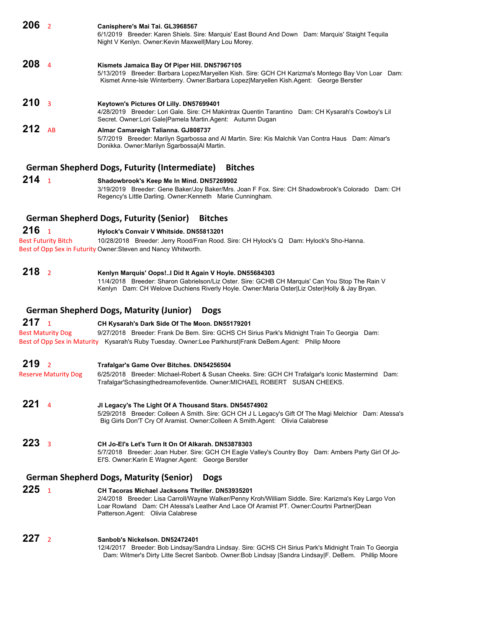| 206 <sub>2</sub> |                            | Canisphere's Mai Tai. GL3968567<br>6/1/2019 Breeder: Karen Shiels. Sire: Marquis' East Bound And Down Dam: Marquis' Staight Tequila<br>Night V Kenlyn. Owner: Kevin Maxwell Mary Lou Morey.                                                                                                  |
|------------------|----------------------------|----------------------------------------------------------------------------------------------------------------------------------------------------------------------------------------------------------------------------------------------------------------------------------------------|
| 208              | $\overline{4}$             | Kismets Jamaica Bay Of Piper Hill. DN57967105<br>5/13/2019 Breeder: Barbara Lopez/Maryellen Kish. Sire: GCH CH Karizma's Montego Bay Von Loar Dam:<br>Kismet Anne-Isle Winterberry. Owner:Barbara Lopez Maryellen Kish.Agent: George Berstler                                                |
| 210              | $\overline{3}$             | Keytown's Pictures Of Lilly. DN57699401<br>4/28/2019 Breeder: Lori Gale. Sire: CH Makintrax Quentin Tarantino Dam: CH Kysarah's Cowboy's Lil<br>Secret. Owner:Lori Gale Pamela Martin.Agent: Autumn Dugan                                                                                    |
| 212 $AB$         |                            | Almar Camareigh Talianna. GJ808737<br>5/7/2019 Breeder: Marilyn Sgarbossa and Al Martin. Sire: Kis Malchik Van Contra Haus Dam: Almar's<br>Donikka. Owner: Marilyn Sgarbossa Al Martin.                                                                                                      |
|                  |                            | <b>German Shepherd Dogs, Futurity (Intermediate)</b><br><b>Bitches</b>                                                                                                                                                                                                                       |
| 214              | $\overline{1}$             | Shadowbrook's Keep Me In Mind. DN57269902<br>3/19/2019 Breeder: Gene Baker/Joy Baker/Mrs. Joan F Fox. Sire: CH Shadowbrook's Colorado Dam: CH<br>Regency's Little Darling. Owner: Kenneth Marie Cunningham.                                                                                  |
|                  |                            | <b>German Shepherd Dogs, Futurity (Senior)</b><br><b>Bitches</b>                                                                                                                                                                                                                             |
| 216              | $\overline{1}$             | Hylock's Convair V Whitside. DN55813201                                                                                                                                                                                                                                                      |
|                  | <b>Best Futurity Bitch</b> | 10/28/2018 Breeder: Jerry Rood/Fran Rood. Sire: CH Hylock's Q Dam: Hylock's Sho-Hanna.                                                                                                                                                                                                       |
|                  |                            | Best of Opp Sex in Futurity Owner: Steven and Nancy Whitworth.                                                                                                                                                                                                                               |
| 218 <sub>2</sub> |                            | Kenlyn Marquis' Oops!I Did It Again V Hoyle. DN55684303<br>11/4/2018 Breeder: Sharon Gabrielson/Liz Oster. Sire: GCHB CH Marquis' Can You Stop The Rain V<br>Kenlyn Dam: CH Welove Duchiens Riverly Hoyle. Owner:Maria Oster Liz Oster Holly & Jay Bryan.                                    |
|                  |                            | <b>German Shepherd Dogs, Maturity (Junior)</b><br><b>Dogs</b>                                                                                                                                                                                                                                |
| 217              | $\overline{1}$             | CH Kysarah's Dark Side Of The Moon. DN55179201                                                                                                                                                                                                                                               |
|                  | Best Maturity Dog          | 9/27/2018 Breeder: Frank De Bem. Sire: GCHS CH Sirius Park's Midnight Train To Georgia Dam:<br>Best of Opp Sex in Maturity Kysarah's Ruby Tuesday. Owner:Lee Parkhurst Frank DeBem.Agent: Philip Moore                                                                                       |
| 219              | $\overline{2}$             | Trafalgar's Game Over Bitches. DN54256504                                                                                                                                                                                                                                                    |
|                  | Reserve Maturity Dog       | 6/25/2018 Breeder: Michael-Robert & Susan Cheeks. Sire: GCH CH Trafalgar's Iconic Mastermind Dam:<br>Trafalgar'Schasingthedreamofeventide. Owner:MICHAEL ROBERT SUSAN CHEEKS.                                                                                                                |
| 221              | 4                          | JI Legacy's The Light Of A Thousand Stars. DN54574902<br>5/29/2018 Breeder: Colleen A Smith. Sire: GCH CH J L Legacy's Gift Of The Magi Melchior Dam: Atessa's<br>Big Girls Don'T Cry Of Aramist. Owner: Colleen A Smith. Agent: Olivia Calabrese                                            |
| 223              | $\overline{\mathbf{3}}$    | CH Jo-El's Let's Turn It On Of Alkarah. DN53878303<br>5/7/2018 Breeder: Joan Huber. Sire: GCH CH Eagle Valley's Country Boy Dam: Ambers Party Girl Of Jo-<br>EI'S. Owner: Karin E Wagner. Agent: George Berstler                                                                             |
|                  |                            | <b>German Shepherd Dogs, Maturity (Senior)</b><br><b>Dogs</b>                                                                                                                                                                                                                                |
| 225              | $\overline{1}$             | CH Tacoras Michael Jacksons Thriller. DN53935201<br>2/4/2018 Breeder: Lisa Carroll/Wayne Walker/Penny Kroh/William Siddle. Sire: Karizma's Key Largo Von<br>Loar Rowland Dam: CH Atessa's Leather And Lace Of Aramist PT. Owner: Courtni Partner   Dean<br>Patterson.Agent: Olivia Calabrese |

**227** <sup>2</sup> **Sanbob's Nickelson. DN52472401** 12/4/2017 Breeder: Bob Lindsay/Sandra Lindsay. Sire: GCHS CH Sirius Park's Midnight Train To Georgia Dam: Witmer's Dirty Litte Secret Sanbob. Owner:Bob Lindsay |Sandra Lindsay|F. DeBem. Phillip Moore